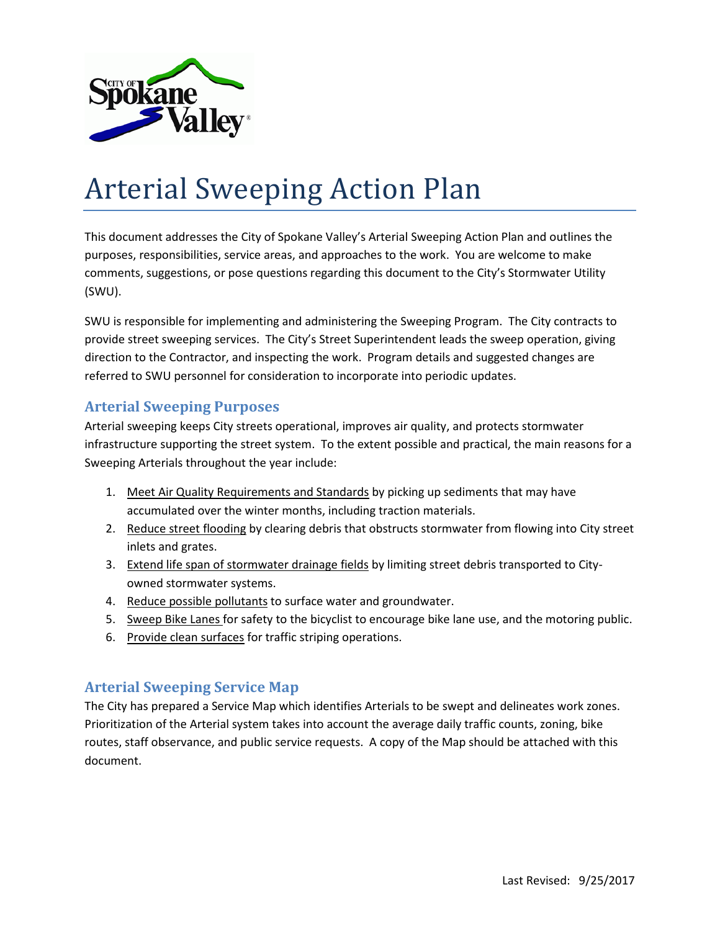

# Arterial Sweeping Action Plan

This document addresses the City of Spokane Valley's Arterial Sweeping Action Plan and outlines the purposes, responsibilities, service areas, and approaches to the work. You are welcome to make comments, suggestions, or pose questions regarding this document to the City's Stormwater Utility (SWU).

SWU is responsible for implementing and administering the Sweeping Program. The City contracts to provide street sweeping services. The City's Street Superintendent leads the sweep operation, giving direction to the Contractor, and inspecting the work. Program details and suggested changes are referred to SWU personnel for consideration to incorporate into periodic updates.

# **Arterial Sweeping Purposes**

Arterial sweeping keeps City streets operational, improves air quality, and protects stormwater infrastructure supporting the street system. To the extent possible and practical, the main reasons for a Sweeping Arterials throughout the year include:

- 1. Meet Air Quality Requirements and Standards by picking up sediments that may have accumulated over the winter months, including traction materials.
- 2. Reduce street flooding by clearing debris that obstructs stormwater from flowing into City street inlets and grates.
- 3. Extend life span of stormwater drainage fields by limiting street debris transported to Cityowned stormwater systems.
- 4. Reduce possible pollutants to surface water and groundwater.
- 5. Sweep Bike Lanes for safety to the bicyclist to encourage bike lane use, and the motoring public.
- 6. Provide clean surfaces for traffic striping operations.

# **Arterial Sweeping Service Map**

The City has prepared a Service Map which identifies Arterials to be swept and delineates work zones. Prioritization of the Arterial system takes into account the average daily traffic counts, zoning, bike routes, staff observance, and public service requests. A copy of the Map should be attached with this document.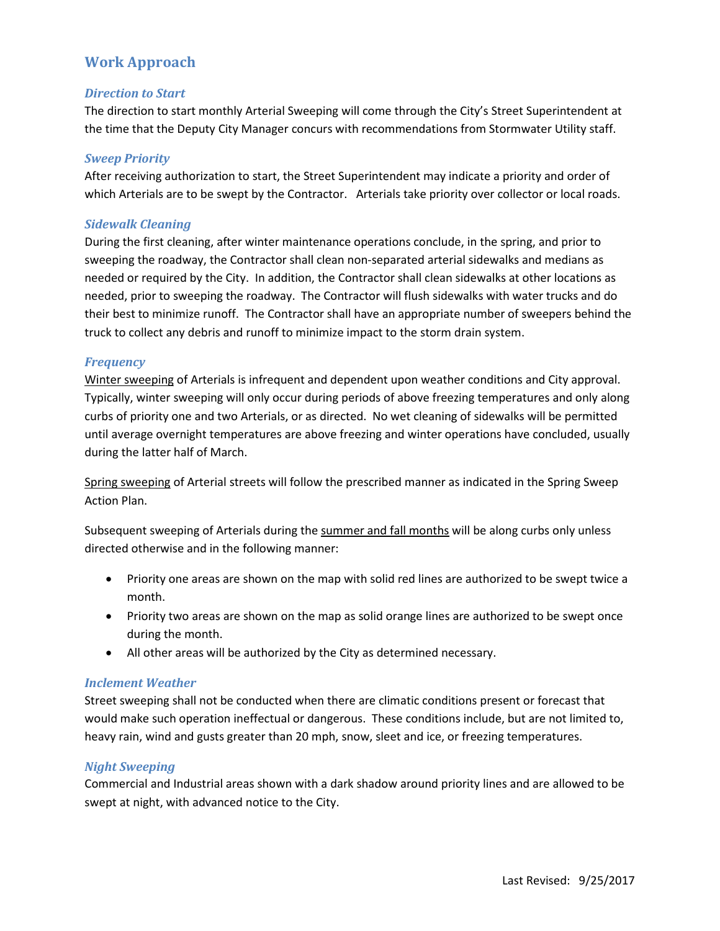# **Work Approach**

## *Direction to Start*

The direction to start monthly Arterial Sweeping will come through the City's Street Superintendent at the time that the Deputy City Manager concurs with recommendations from Stormwater Utility staff.

## *Sweep Priority*

After receiving authorization to start, the Street Superintendent may indicate a priority and order of which Arterials are to be swept by the Contractor. Arterials take priority over collector or local roads.

# *Sidewalk Cleaning*

During the first cleaning, after winter maintenance operations conclude, in the spring, and prior to sweeping the roadway, the Contractor shall clean non-separated arterial sidewalks and medians as needed or required by the City. In addition, the Contractor shall clean sidewalks at other locations as needed, prior to sweeping the roadway. The Contractor will flush sidewalks with water trucks and do their best to minimize runoff. The Contractor shall have an appropriate number of sweepers behind the truck to collect any debris and runoff to minimize impact to the storm drain system.

## *Frequency*

Winter sweeping of Arterials is infrequent and dependent upon weather conditions and City approval. Typically, winter sweeping will only occur during periods of above freezing temperatures and only along curbs of priority one and two Arterials, or as directed. No wet cleaning of sidewalks will be permitted until average overnight temperatures are above freezing and winter operations have concluded, usually during the latter half of March.

Spring sweeping of Arterial streets will follow the prescribed manner as indicated in the Spring Sweep Action Plan.

Subsequent sweeping of Arterials during the summer and fall months will be along curbs only unless directed otherwise and in the following manner:

- Priority one areas are shown on the map with solid red lines are authorized to be swept twice a month.
- Priority two areas are shown on the map as solid orange lines are authorized to be swept once during the month.
- All other areas will be authorized by the City as determined necessary.

## *Inclement Weather*

Street sweeping shall not be conducted when there are climatic conditions present or forecast that would make such operation ineffectual or dangerous. These conditions include, but are not limited to, heavy rain, wind and gusts greater than 20 mph, snow, sleet and ice, or freezing temperatures.

## *Night Sweeping*

Commercial and Industrial areas shown with a dark shadow around priority lines and are allowed to be swept at night, with advanced notice to the City.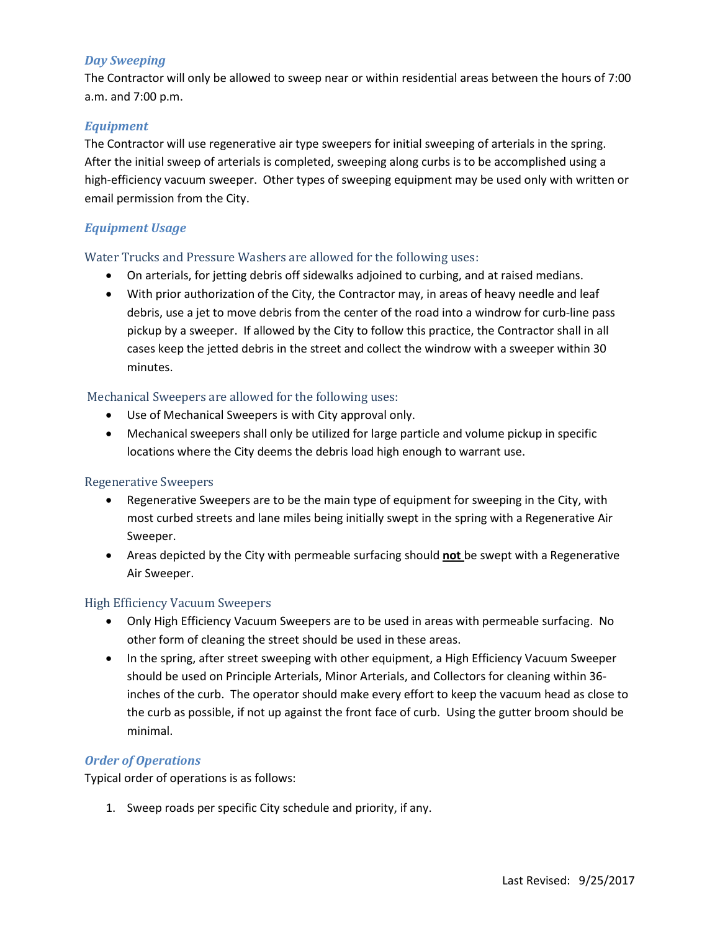# *Day Sweeping*

The Contractor will only be allowed to sweep near or within residential areas between the hours of 7:00 a.m. and 7:00 p.m.

# *Equipment*

The Contractor will use regenerative air type sweepers for initial sweeping of arterials in the spring. After the initial sweep of arterials is completed, sweeping along curbs is to be accomplished using a high-efficiency vacuum sweeper. Other types of sweeping equipment may be used only with written or email permission from the City.

# *Equipment Usage*

#### Water Trucks and Pressure Washers are allowed for the following uses:

- On arterials, for jetting debris off sidewalks adjoined to curbing, and at raised medians.
- With prior authorization of the City, the Contractor may, in areas of heavy needle and leaf debris, use a jet to move debris from the center of the road into a windrow for curb-line pass pickup by a sweeper. If allowed by the City to follow this practice, the Contractor shall in all cases keep the jetted debris in the street and collect the windrow with a sweeper within 30 minutes.

## Mechanical Sweepers are allowed for the following uses:

- Use of Mechanical Sweepers is with City approval only.
- Mechanical sweepers shall only be utilized for large particle and volume pickup in specific locations where the City deems the debris load high enough to warrant use.

## Regenerative Sweepers

- Regenerative Sweepers are to be the main type of equipment for sweeping in the City, with most curbed streets and lane miles being initially swept in the spring with a Regenerative Air Sweeper.
- Areas depicted by the City with permeable surfacing should **not** be swept with a Regenerative Air Sweeper.

## High Efficiency Vacuum Sweepers

- Only High Efficiency Vacuum Sweepers are to be used in areas with permeable surfacing. No other form of cleaning the street should be used in these areas.
- In the spring, after street sweeping with other equipment, a High Efficiency Vacuum Sweeper should be used on Principle Arterials, Minor Arterials, and Collectors for cleaning within 36 inches of the curb. The operator should make every effort to keep the vacuum head as close to the curb as possible, if not up against the front face of curb. Using the gutter broom should be minimal.

## *Order of Operations*

Typical order of operations is as follows:

1. Sweep roads per specific City schedule and priority, if any.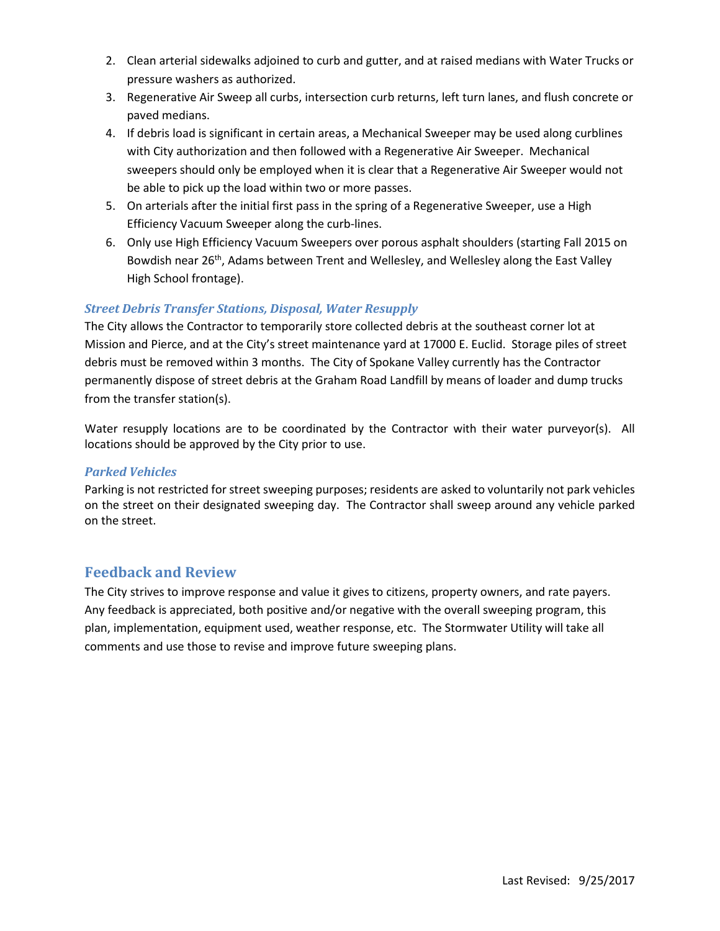- 2. Clean arterial sidewalks adjoined to curb and gutter, and at raised medians with Water Trucks or pressure washers as authorized.
- 3. Regenerative Air Sweep all curbs, intersection curb returns, left turn lanes, and flush concrete or paved medians.
- 4. If debris load is significant in certain areas, a Mechanical Sweeper may be used along curblines with City authorization and then followed with a Regenerative Air Sweeper. Mechanical sweepers should only be employed when it is clear that a Regenerative Air Sweeper would not be able to pick up the load within two or more passes.
- 5. On arterials after the initial first pass in the spring of a Regenerative Sweeper, use a High Efficiency Vacuum Sweeper along the curb-lines.
- 6. Only use High Efficiency Vacuum Sweepers over porous asphalt shoulders (starting Fall 2015 on Bowdish near 26<sup>th</sup>, Adams between Trent and Wellesley, and Wellesley along the East Valley High School frontage).

# *Street Debris Transfer Stations, Disposal, Water Resupply*

The City allows the Contractor to temporarily store collected debris at the southeast corner lot at Mission and Pierce, and at the City's street maintenance yard at 17000 E. Euclid. Storage piles of street debris must be removed within 3 months. The City of Spokane Valley currently has the Contractor permanently dispose of street debris at the Graham Road Landfill by means of loader and dump trucks from the transfer station(s).

Water resupply locations are to be coordinated by the Contractor with their water purveyor(s). All locations should be approved by the City prior to use.

# *Parked Vehicles*

Parking is not restricted for street sweeping purposes; residents are asked to voluntarily not park vehicles on the street on their designated sweeping day. The Contractor shall sweep around any vehicle parked on the street.

# **Feedback and Review**

The City strives to improve response and value it gives to citizens, property owners, and rate payers. Any feedback is appreciated, both positive and/or negative with the overall sweeping program, this plan, implementation, equipment used, weather response, etc. The Stormwater Utility will take all comments and use those to revise and improve future sweeping plans.